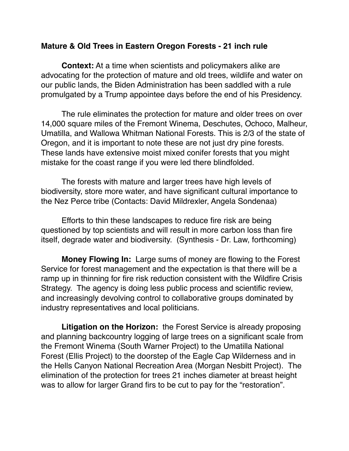## **Mature & Old Trees in Eastern Oregon Forests - 21 inch rule**

**Context:** At a time when scientists and policymakers alike are advocating for the protection of mature and old trees, wildlife and water on our public lands, the Biden Administration has been saddled with a rule promulgated by a Trump appointee days before the end of his Presidency.

The rule eliminates the protection for mature and older trees on over 14,000 square miles of the Fremont Winema, Deschutes, Ochoco, Malheur, Umatilla, and Wallowa Whitman National Forests. This is 2/3 of the state of Oregon, and it is important to note these are not just dry pine forests. These lands have extensive moist mixed conifer forests that you might mistake for the coast range if you were led there blindfolded.

The forests with mature and larger trees have high levels of biodiversity, store more water, and have significant cultural importance to the Nez Perce tribe (Contacts: David Mildrexler, Angela Sondenaa)

Efforts to thin these landscapes to reduce fire risk are being questioned by top scientists and will result in more carbon loss than fire itself, degrade water and biodiversity. (Synthesis - Dr. Law, forthcoming)

**Money Flowing In:** Large sums of money are flowing to the Forest Service for forest management and the expectation is that there will be a ramp up in thinning for fire risk reduction consistent with the Wildfire Crisis Strategy. The agency is doing less public process and scientific review, and increasingly devolving control to collaborative groups dominated by industry representatives and local politicians.

**Litigation on the Horizon:** the Forest Service is already proposing and planning backcountry logging of large trees on a significant scale from the Fremont Winema (South Warner Project) to the Umatilla National Forest (Ellis Project) to the doorstep of the Eagle Cap Wilderness and in the Hells Canyon National Recreation Area (Morgan Nesbitt Project). The elimination of the protection for trees 21 inches diameter at breast height was to allow for larger Grand firs to be cut to pay for the "restoration".